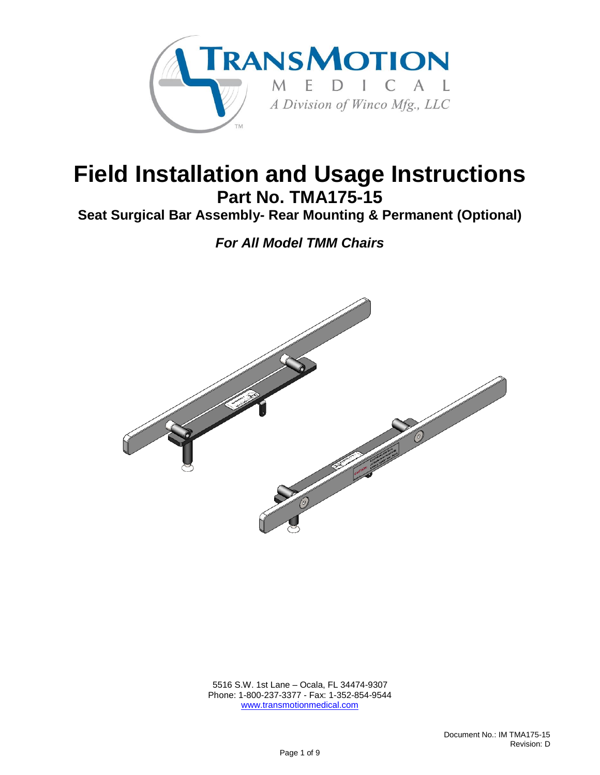

# **Field Installation and Usage Instructions Part No. TMA175-15**

**Seat Surgical Bar Assembly- Rear Mounting & Permanent (Optional)**

*For All Model TMM Chairs*



 5516 S.W. 1st Lane – Ocala, FL 34474-9307 Phone: 1-800-237-3377 - Fax: 1-352-854-9544 [www.transmotionmedical.com](http://www.transmotionmedical.com/)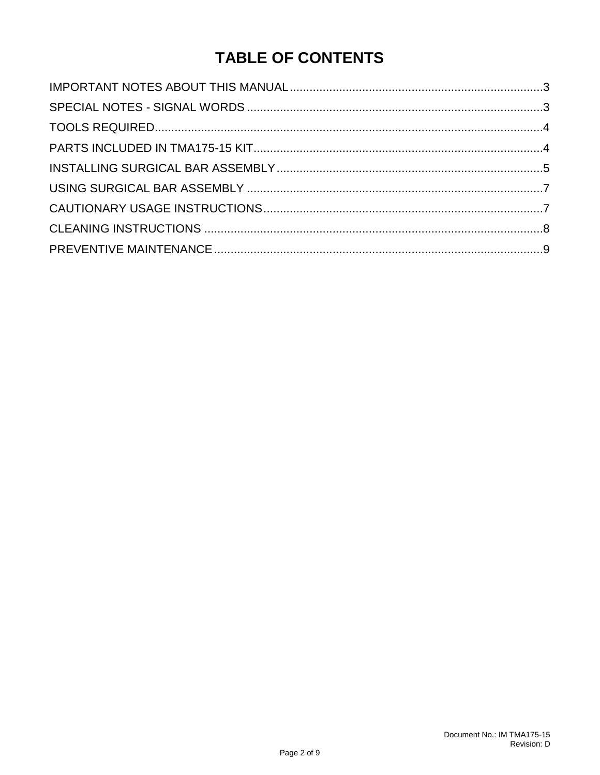# **TABLE OF CONTENTS**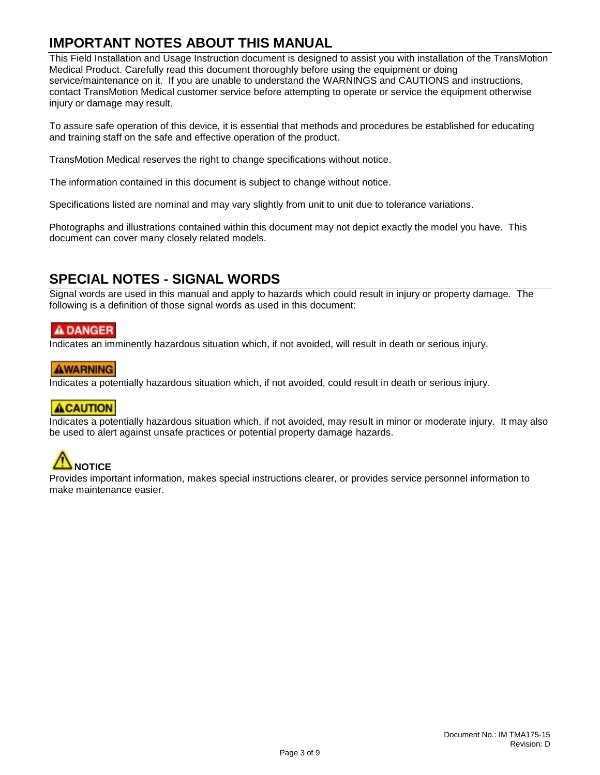### <span id="page-2-0"></span>**IMPORTANT NOTES ABOUT THIS MANUAL**

This Field Installation and Usage Instruction document is designed to assist you with installation of the TransMotion Medical Product. Carefully read this document thoroughly before using the equipment or doing service/maintenance on it. If you are unable to understand the WARNINGS and CAUTIONS and instructions, contact TransMotion Medical customer service before attempting to operate or service the equipment otherwise injury or damage may result.

To assure safe operation of this device, it is essential that methods and procedures be established for educating and training staff on the safe and effective operation of the product.

TransMotion Medical reserves the right to change specifications without notice.

The information contained in this document is subject to change without notice.

Specifications listed are nominal and may vary slightly from unit to unit due to tolerance variations.

Photographs and illustrations contained within this document may not depict exactly the model you have. This document can cover many closely related models.

### <span id="page-2-1"></span>**SPECIAL NOTES - SIGNAL WORDS**

Signal words are used in this manual and apply to hazards which could result in injury or property damage. The following is a definition of those signal words as used in this document:

#### A DANGER

Indicates an imminently hazardous situation which, if not avoided, will result in death or serious injury.

#### **AWARNING**

Indicates a potentially hazardous situation which, if not avoided, could result in death or serious injury.

#### **ACAUTION**

Indicates a potentially hazardous situation which, if not avoided, may result in minor or moderate injury. It may also be used to alert against unsafe practices or potential property damage hazards.



Provides important information, makes special instructions clearer, or provides service personnel information to make maintenance easier.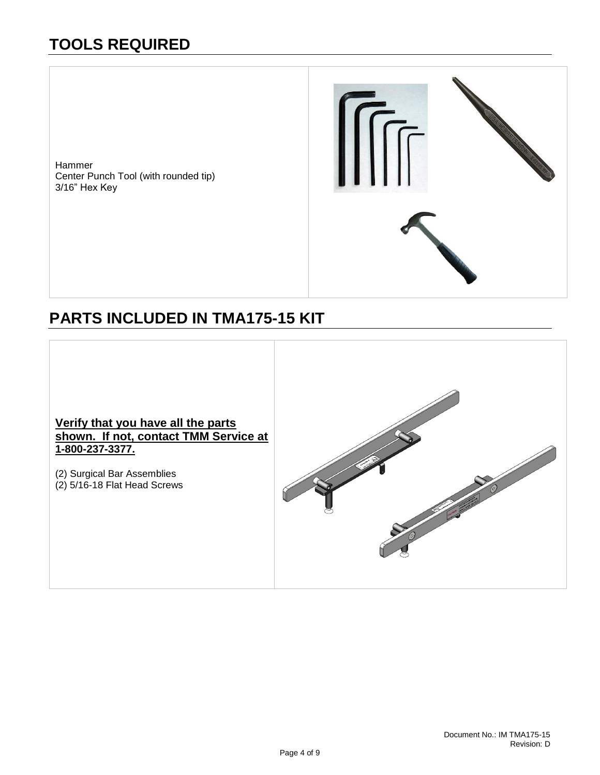## <span id="page-3-0"></span>**TOOLS REQUIRED**



Hammer Center Punch Tool (with rounded tip) 3/16" Hex Key

# <span id="page-3-1"></span>**PARTS INCLUDED IN TMA175-15 KIT**

#### **Verify that you have all the parts shown. If not, contact TMM Service at 1-800-237-3377.**

(2) Surgical Bar Assemblies (2) 5/16-18 Flat Head Screws

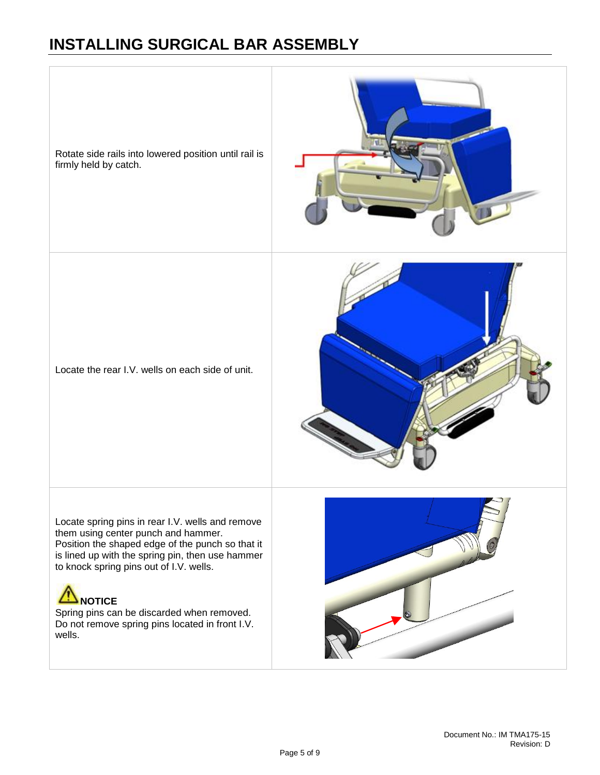## <span id="page-4-0"></span>**INSTALLING SURGICAL BAR ASSEMBLY**



Document No.: IM TMA175-15 Revision: D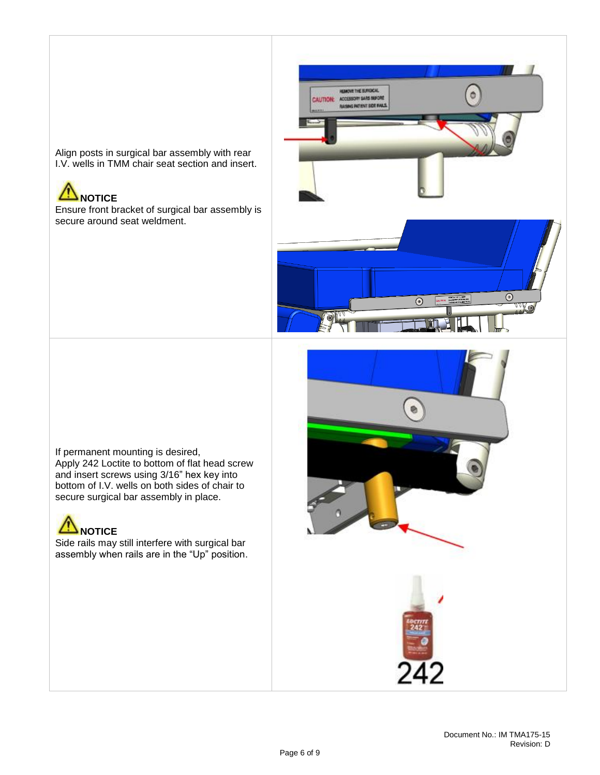Align posts in surgical bar assembly with rear I.V. wells in TMM chair seat section and insert.

# **NOTICE**

Ensure front bracket of surgical bar assembly is secure around seat weldment.

If permanent mounting is desired, Apply 242 Loctite to bottom of flat head screw and insert screws using 3/16" hex key into bottom of I.V. wells on both sides of chair to secure surgical bar assembly in place.



Side rails may still interfere with surgical bar assembly when rails are in the "Up" position.

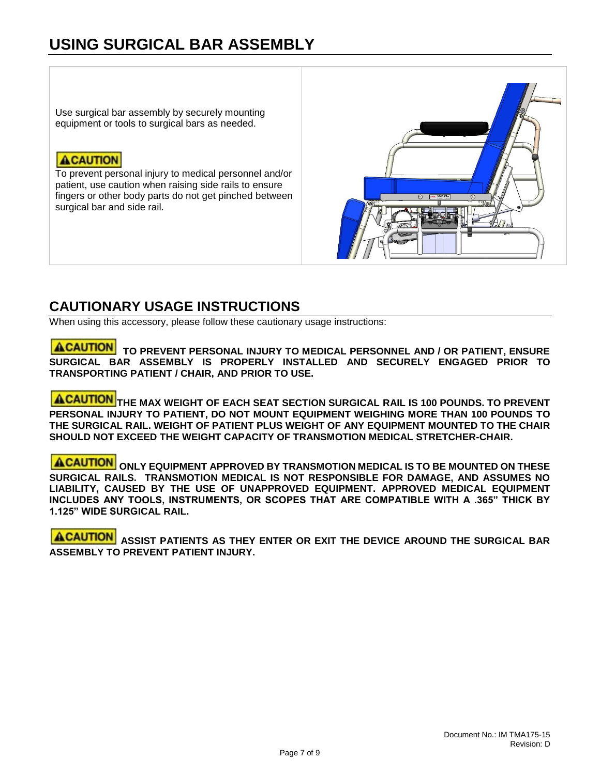<span id="page-6-0"></span>Use surgical bar assembly by securely mounting equipment or tools to surgical bars as needed.

#### **ACAUTION**

To prevent personal injury to medical personnel and/or patient, use caution when raising side rails to ensure fingers or other body parts do not get pinched between surgical bar and side rail.



### <span id="page-6-1"></span>**CAUTIONARY USAGE INSTRUCTIONS**

When using this accessory, please follow these cautionary usage instructions:

**ACAUTION** TO PREVENT PERSONAL INJURY TO MEDICAL PERSONNEL AND / OR PATIENT, ENSURE **SURGICAL BAR ASSEMBLY IS PROPERLY INSTALLED AND SECURELY ENGAGED PRIOR TO TRANSPORTING PATIENT / CHAIR, AND PRIOR TO USE.**

 $\overline{\textbf{ACAUTION}}$ THE MAX WEIGHT OF EACH SEAT SECTION SURGICAL RAIL IS 100 POUNDS. TO PREVENT **PERSONAL INJURY TO PATIENT, DO NOT MOUNT EQUIPMENT WEIGHING MORE THAN 100 POUNDS TO THE SURGICAL RAIL. WEIGHT OF PATIENT PLUS WEIGHT OF ANY EQUIPMENT MOUNTED TO THE CHAIR SHOULD NOT EXCEED THE WEIGHT CAPACITY OF TRANSMOTION MEDICAL STRETCHER-CHAIR.**

**ACAUTION** ONLY EQUIPMENT APPROVED BY TRANSMOTION MEDICAL IS TO BE MOUNTED ON THESE **SURGICAL RAILS. TRANSMOTION MEDICAL IS NOT RESPONSIBLE FOR DAMAGE, AND ASSUMES NO LIABILITY, CAUSED BY THE USE OF UNAPPROVED EQUIPMENT. APPROVED MEDICAL EQUIPMENT INCLUDES ANY TOOLS, INSTRUMENTS, OR SCOPES THAT ARE COMPATIBLE WITH A .365" THICK BY 1.125" WIDE SURGICAL RAIL.**

#### **ACAUTION**

**ASSIST PATIENTS AS THEY ENTER OR EXIT THE DEVICE AROUND THE SURGICAL BAR ASSEMBLY TO PREVENT PATIENT INJURY.**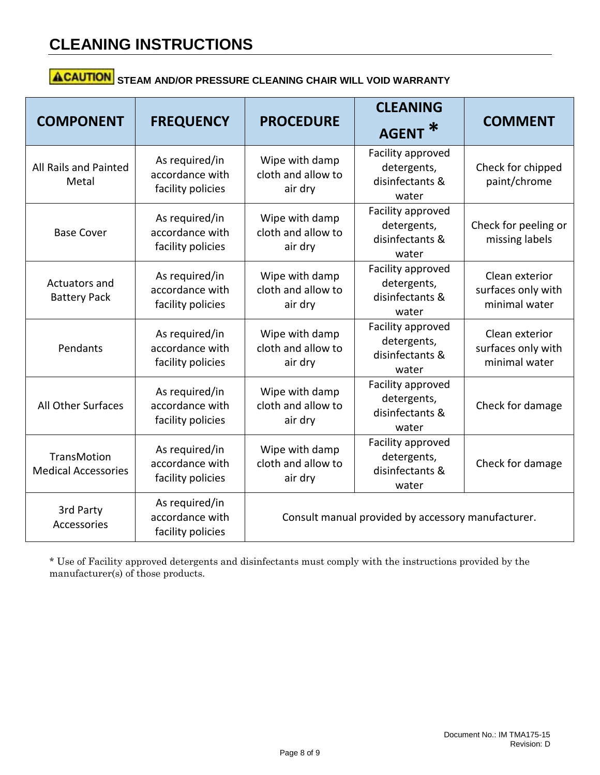## <span id="page-7-0"></span>**CLEANING INSTRUCTIONS**

# **ACAUTION** STEAM AND/OR PRESSURE CLEANING CHAIR WILL VOID WARRANTY

| <b>COMPONENT</b>                                 | <b>FREQUENCY</b>                                       | <b>PROCEDURE</b>                                   | <b>CLEANING</b>                                              | <b>COMMENT</b>                                        |
|--------------------------------------------------|--------------------------------------------------------|----------------------------------------------------|--------------------------------------------------------------|-------------------------------------------------------|
|                                                  |                                                        |                                                    | ⋇<br><b>AGENT</b>                                            |                                                       |
| All Rails and Painted<br>Metal                   | As required/in<br>accordance with<br>facility policies | Wipe with damp<br>cloth and allow to<br>air dry    | Facility approved<br>detergents,<br>disinfectants &<br>water | Check for chipped<br>paint/chrome                     |
| <b>Base Cover</b>                                | As required/in<br>accordance with<br>facility policies | Wipe with damp<br>cloth and allow to<br>air dry    | Facility approved<br>detergents,<br>disinfectants &<br>water | Check for peeling or<br>missing labels                |
| Actuators and<br><b>Battery Pack</b>             | As required/in<br>accordance with<br>facility policies | Wipe with damp<br>cloth and allow to<br>air dry    | Facility approved<br>detergents,<br>disinfectants &<br>water | Clean exterior<br>surfaces only with<br>minimal water |
| Pendants                                         | As required/in<br>accordance with<br>facility policies | Wipe with damp<br>cloth and allow to<br>air dry    | Facility approved<br>detergents,<br>disinfectants &<br>water | Clean exterior<br>surfaces only with<br>minimal water |
| <b>All Other Surfaces</b>                        | As required/in<br>accordance with<br>facility policies | Wipe with damp<br>cloth and allow to<br>air dry    | Facility approved<br>detergents,<br>disinfectants &<br>water | Check for damage                                      |
| <b>TransMotion</b><br><b>Medical Accessories</b> | As required/in<br>accordance with<br>facility policies | Wipe with damp<br>cloth and allow to<br>air dry    | Facility approved<br>detergents,<br>disinfectants &<br>water | Check for damage                                      |
| 3rd Party<br>Accessories                         | As required/in<br>accordance with<br>facility policies | Consult manual provided by accessory manufacturer. |                                                              |                                                       |

\* Use of Facility approved detergents and disinfectants must comply with the instructions provided by the manufacturer(s) of those products.